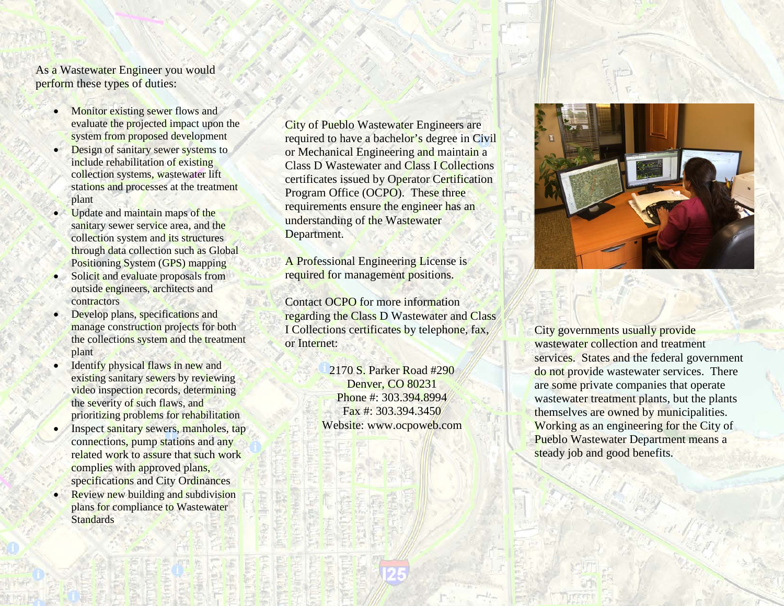As a Wastewater Engineer you would perform these types of duties:

- Monitor existing sewer flows and evaluate the projected impact upon the system from proposed development
- Design of sanitary sewer systems to include rehabilitation of existing collection systems, wastewater lift stations and processes at the treatment plant
- Update and maintain maps of the sanitary sewer service area, and the collection system and its structures through data collection such as Global Positioning System (GPS) mapping
- Solicit and evaluate proposals from outside engineers, architects and contractors
- Develop plans, specifications and manage construction projects for both the collections system and the treatment plant
- Identify physical flaws in new and existing sanitary sewers by reviewing video inspection records, determining the severity of such flaws, and prioritizing problems for rehabilitation
- Inspect sanitary sewers, manholes, tap connections, pump stations and any related work to assure that such work complies with approved plans, specifications and City Ordinances
- Review new building and subdivision plans for compliance to Wastewater **Standards**

City of Pueblo Wastewater Engineers are required to have a bachelor's degree in Civil or Mechanical Engineering and maintain a Class D Wastewater and Class I Collections certificates issued by Operator Certification Program Office (OCPO). These three requirements ensure the engineer has an understanding of the Wastewater Department.

A Professional Engineering License is required for management positions.

Contact OCPO for more information regarding the Class D Wastewater and Class I Collections certificates by telephone, fax, or Internet:

> 2170 S. Parker Road #290 Denver, CO 80231 Phone #: 303.394.8994 Fax #: 303.394.3450 Website: www.ocpoweb.com



City governments usually provide wastewater collection and treatment services. States and the federal government do not provide wastewater services. There are some private companies that operate wastewater treatment plants, but the plants themselves are owned by municipalities. Working as an engineering for the City of Pueblo Wastewater Department means a steady job and good benefits.